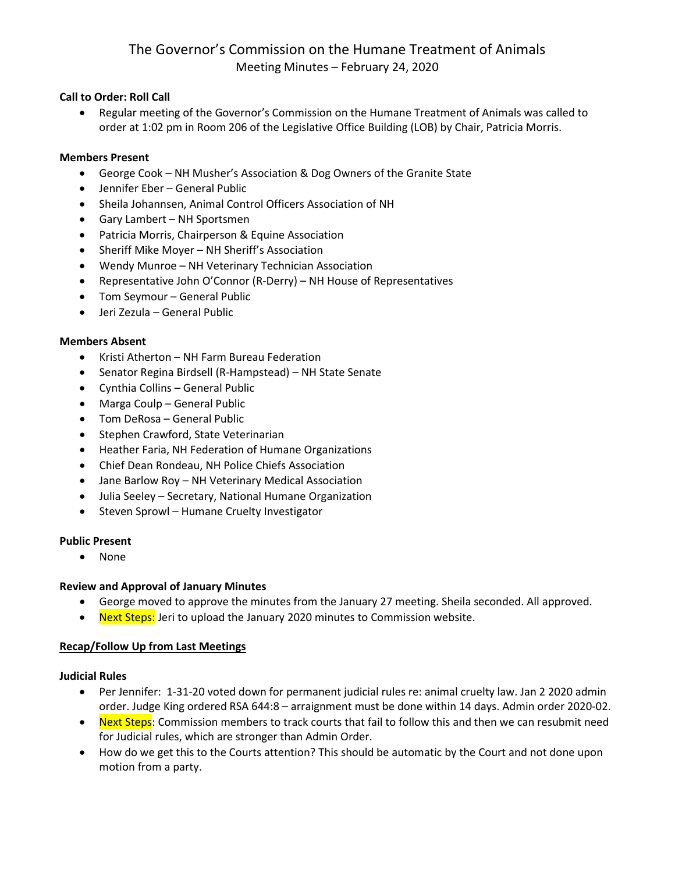# The Governor's Commission on the Humane Treatment of Animals Meeting Minutes – February 24, 2020

# **Call to Order: Roll Call**

• Regular meeting of the Governor's Commission on the Humane Treatment of Animals was called to order at 1:02 pm in Room 206 of the Legislative Office Building (LOB) by Chair, Patricia Morris.

## **Members Present**

- George Cook NH Musher's Association & Dog Owners of the Granite State
- Jennifer Eber General Public
- Sheila Johannsen, Animal Control Officers Association of NH
- Gary Lambert NH Sportsmen
- Patricia Morris, Chairperson & Equine Association
- Sheriff Mike Moyer NH Sheriff's Association
- Wendy Munroe NH Veterinary Technician Association
- Representative John O'Connor (R-Derry) NH House of Representatives
- Tom Seymour General Public
- Jeri Zezula General Public

#### **Members Absent**

- Kristi Atherton NH Farm Bureau Federation
- Senator Regina Birdsell (R-Hampstead) NH State Senate
- Cynthia Collins General Public
- Marga Coulp General Public
- Tom DeRosa General Public
- Stephen Crawford, State Veterinarian
- Heather Faria, NH Federation of Humane Organizations
- Chief Dean Rondeau, NH Police Chiefs Association
- Jane Barlow Roy NH Veterinary Medical Association
- Julia Seeley Secretary, National Humane Organization
- Steven Sprowl Humane Cruelty Investigator

## **Public Present**

• None

## **Review and Approval of January Minutes**

- George moved to approve the minutes from the January 27 meeting. Sheila seconded. All approved.
- Next Steps: Jeri to upload the January 2020 minutes to Commission website.

## **Recap/Follow Up from Last Meetings**

#### **Judicial Rules**

- Per Jennifer: 1-31-20 voted down for permanent judicial rules re: animal cruelty law. Jan 2 2020 admin order. Judge King ordered RSA 644:8 – arraignment must be done within 14 days. Admin order 2020-02.
- Next Steps: Commission members to track courts that fail to follow this and then we can resubmit need for Judicial rules, which are stronger than Admin Order.
- How do we get this to the Courts attention? This should be automatic by the Court and not done upon motion from a party.